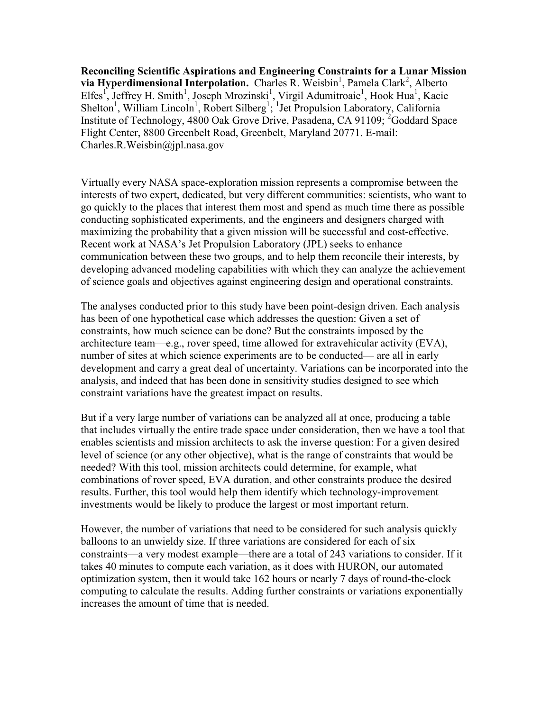**Reconciling Scientific Aspirations and Engineering Constraints for a Lunar Mission**  via Hyperdimensional Interpolation. Charles R. Weisbin<sup>1</sup>, Pamela Clark<sup>2</sup>, Alberto Elfes<sup>1</sup>, Jeffrey H. Smith<sup>1</sup>, Joseph Mrozinski<sup>1</sup>, Virgil Adumitroaie<sup>1</sup>, Hook Hua<sup>1</sup>, Kacie Shelton<sup>1</sup>, William Lincoln<sup>1</sup>, Robert Silberg<sup>1</sup>; <sup>1</sup>Jet Propulsion Laboratory, California Institute of Technology, 4800 Oak Grove Drive, Pasadena, CA 91109; <sup>2</sup>Goddard Space Flight Center, 8800 Greenbelt Road, Greenbelt, Maryland 20771. E-mail: Charles.R.Weisbin@jpl.nasa.gov

Virtually every NASA space-exploration mission represents a compromise between the interests of two expert, dedicated, but very different communities: scientists, who want to go quickly to the places that interest them most and spend as much time there as possible conducting sophisticated experiments, and the engineers and designers charged with maximizing the probability that a given mission will be successful and cost-effective. Recent work at NASA's Jet Propulsion Laboratory (JPL) seeks to enhance communication between these two groups, and to help them reconcile their interests, by developing advanced modeling capabilities with which they can analyze the achievement of science goals and objectives against engineering design and operational constraints.

The analyses conducted prior to this study have been point-design driven. Each analysis has been of one hypothetical case which addresses the question: Given a set of constraints, how much science can be done? But the constraints imposed by the architecture team—e.g., rover speed, time allowed for extravehicular activity (EVA), number of sites at which science experiments are to be conducted— are all in early development and carry a great deal of uncertainty. Variations can be incorporated into the analysis, and indeed that has been done in sensitivity studies designed to see which constraint variations have the greatest impact on results.

But if a very large number of variations can be analyzed all at once, producing a table that includes virtually the entire trade space under consideration, then we have a tool that enables scientists and mission architects to ask the inverse question: For a given desired level of science (or any other objective), what is the range of constraints that would be needed? With this tool, mission architects could determine, for example, what combinations of rover speed, EVA duration, and other constraints produce the desired results. Further, this tool would help them identify which technology-improvement investments would be likely to produce the largest or most important return.

However, the number of variations that need to be considered for such analysis quickly balloons to an unwieldy size. If three variations are considered for each of six constraints—a very modest example—there are a total of 243 variations to consider. If it takes 40 minutes to compute each variation, as it does with HURON, our automated optimization system, then it would take 162 hours or nearly 7 days of round-the-clock computing to calculate the results. Adding further constraints or variations exponentially increases the amount of time that is needed.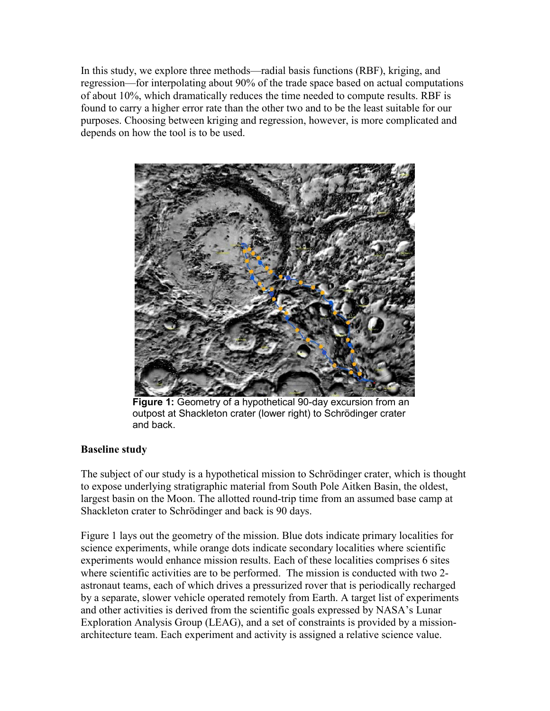In this study, we explore three methods—radial basis functions (RBF), kriging, and regression—for interpolating about 90% of the trade space based on actual computations of about 10%, which dramatically reduces the time needed to compute results. RBF is found to carry a higher error rate than the other two and to be the least suitable for our purposes. Choosing between kriging and regression, however, is more complicated and depends on how the tool is to be used.



**Figure 1:** Geometry of a hypothetical 90-day excursion from an outpost at Shackleton crater (lower right) to Schrödinger crater and back.

## **Baseline study**

The subject of our study is a hypothetical mission to Schrödinger crater, which is thought to expose underlying stratigraphic material from South Pole Aitken Basin, the oldest, largest basin on the Moon. The allotted round-trip time from an assumed base camp at Shackleton crater to Schrödinger and back is 90 days.

Figure 1 lays out the geometry of the mission. Blue dots indicate primary localities for science experiments, while orange dots indicate secondary localities where scientific experiments would enhance mission results. Each of these localities comprises 6 sites where scientific activities are to be performed. The mission is conducted with two 2 astronaut teams, each of which drives a pressurized rover that is periodically recharged by a separate, slower vehicle operated remotely from Earth. A target list of experiments and other activities is derived from the scientific goals expressed by NASA's Lunar Exploration Analysis Group (LEAG), and a set of constraints is provided by a missionarchitecture team. Each experiment and activity is assigned a relative science value.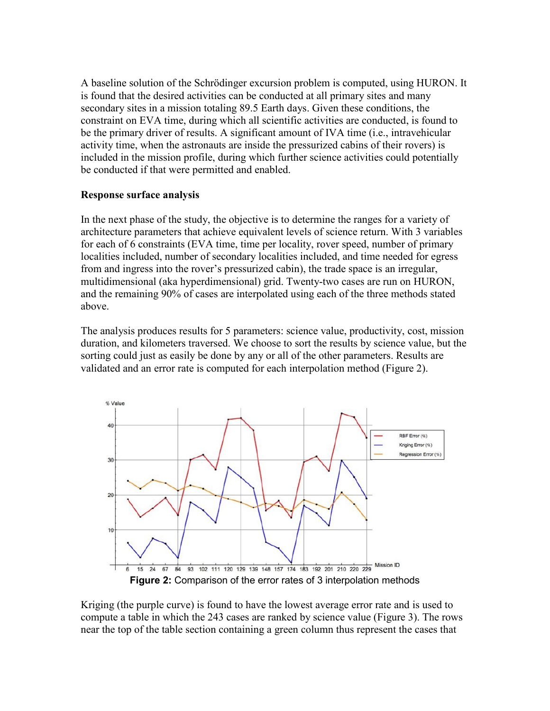A baseline solution of the Schrödinger excursion problem is computed, using HURON. It is found that the desired activities can be conducted at all primary sites and many secondary sites in a mission totaling 89.5 Earth days. Given these conditions, the constraint on EVA time, during which all scientific activities are conducted, is found to be the primary driver of results. A significant amount of IVA time (i.e., intravehicular activity time, when the astronauts are inside the pressurized cabins of their rovers) is included in the mission profile, during which further science activities could potentially be conducted if that were permitted and enabled.

## **Response surface analysis**

In the next phase of the study, the objective is to determine the ranges for a variety of architecture parameters that achieve equivalent levels of science return. With 3 variables for each of 6 constraints (EVA time, time per locality, rover speed, number of primary localities included, number of secondary localities included, and time needed for egress from and ingress into the rover's pressurized cabin), the trade space is an irregular, multidimensional (aka hyperdimensional) grid. Twenty-two cases are run on HURON, and the remaining 90% of cases are interpolated using each of the three methods stated above.

The analysis produces results for 5 parameters: science value, productivity, cost, mission duration, and kilometers traversed. We choose to sort the results by science value, but the sorting could just as easily be done by any or all of the other parameters. Results are validated and an error rate is computed for each interpolation method (Figure 2).



Kriging (the purple curve) is found to have the lowest average error rate and is used to compute a table in which the 243 cases are ranked by science value (Figure 3). The rows near the top of the table section containing a green column thus represent the cases that